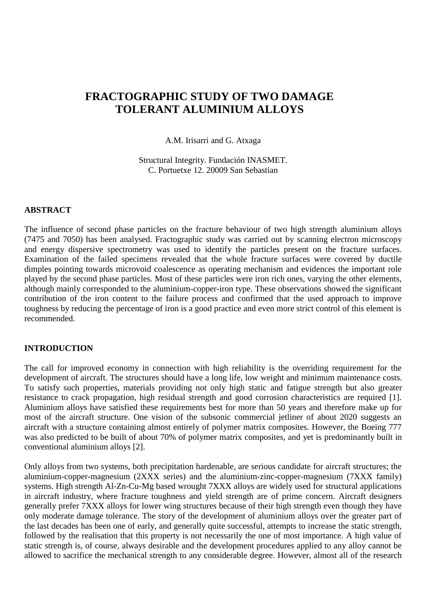# **FRACTOGRAPHIC STUDY OF TWO DAMAGE TOLERANT ALUMINIUM ALLOYS**

A.M. Irisarri and G. Atxaga

Structural Integrity. Fundación INASMET. C. Portuetxe 12. 20009 San Sebastian

### **ABSTRACT**

The influence of second phase particles on the fracture behaviour of two high strength aluminium alloys (7475 and 7050) has been analysed. Fractographic study was carried out by scanning electron microscopy and energy dispersive spectrometry was used to identify the particles present on the fracture surfaces. Examination of the failed specimens revealed that the whole fracture surfaces were covered by ductile dimples pointing towards microvoid coalescence as operating mechanism and evidences the important role played by the second phase particles. Most of these particles were iron rich ones, varying the other elements, although mainly corresponded to the aluminium-copper-iron type. These observations showed the significant contribution of the iron content to the failure process and confirmed that the used approach to improve toughness by reducing the percentage of iron is a good practice and even more strict control of this element is recommended.

#### **INTRODUCTION**

The call for improved economy in connection with high reliability is the overriding requirement for the development of aircraft. The structures should have a long life, low weight and minimum maintenance costs. To satisfy such properties, materials providing not only high static and fatigue strength but also greater resistance to crack propagation, high residual strength and good corrosion characteristics are required [1]. Aluminium alloys have satisfied these requirements best for more than 50 years and therefore make up for most of the aircraft structure. One vision of the subsonic commercial jetliner of about 2020 suggests an aircraft with a structure containing almost entirely of polymer matrix composites. However, the Boeing 777 was also predicted to be built of about 70% of polymer matrix composites, and yet is predominantly built in conventional aluminium alloys [2].

Only alloys from two systems, both precipitation hardenable, are serious candidate for aircraft structures; the aluminium-copper-magnesium (2XXX series) and the aluminium-zinc-copper-magnesium (7XXX family) systems. High strength Al-Zn-Cu-Mg based wrought 7XXX alloys are widely used for structural applications in aircraft industry, where fracture toughness and yield strength are of prime concern. Aircraft designers generally prefer 7XXX alloys for lower wing structures because of their high strength even though they have only moderate damage tolerance. The story of the development of aluminium alloys over the greater part of the last decades has been one of early, and generally quite successful, attempts to increase the static strength, followed by the realisation that this property is not necessarily the one of most importance. A high value of static strength is, of course, always desirable and the development procedures applied to any alloy cannot be allowed to sacrifice the mechanical strength to any considerable degree. However, almost all of the research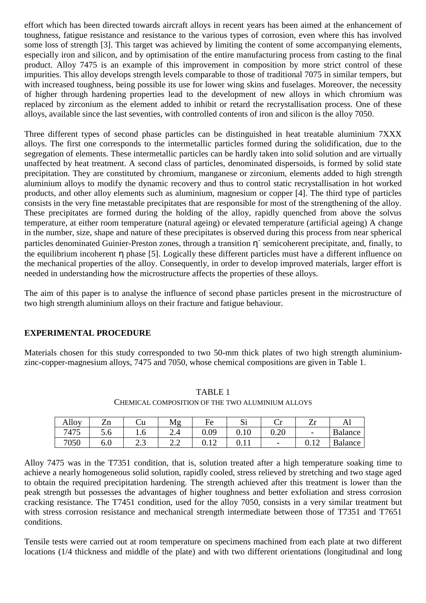effort which has been directed towards aircraft alloys in recent years has been aimed at the enhancement of toughness, fatigue resistance and resistance to the various types of corrosion, even where this has involved some loss of strength [3]. This target was achieved by limiting the content of some accompanying elements, especially iron and silicon, and by optimisation of the entire manufacturing process from casting to the final product. Alloy 7475 is an example of this improvement in composition by more strict control of these impurities. This alloy develops strength levels comparable to those of traditional 7075 in similar tempers, but with increased toughness, being possible its use for lower wing skins and fuselages. Moreover, the necessity of higher through hardening properties lead to the development of new alloys in which chromium was replaced by zirconium as the element added to inhibit or retard the recrystallisation process. One of these alloys, available since the last seventies, with controlled contents of iron and silicon is the alloy 7050.

Three different types of second phase particles can be distinguished in heat treatable aluminium 7XXX alloys. The first one corresponds to the intermetallic particles formed during the solidification, due to the segregation of elements. These intermetallic particles can be hardly taken into solid solution and are virtually unaffected by heat treatment. A second class of particles, denominated dispersoids, is formed by solid state precipitation. They are constituted by chromium, manganese or zirconium, elements added to high strength aluminium alloys to modify the dynamic recovery and thus to control static recrystallisation in hot worked products, and other alloy elements such as aluminium, magnesium or copper [4]. The third type of particles consists in the very fine metastable precipitates that are responsible for most of the strengthening of the alloy. These precipitates are formed during the holding of the alloy, rapidly quenched from above the solvus temperature, at either room temperature (natural ageing) or elevated temperature (artificial ageing) A change in the number, size, shape and nature of these precipitates is observed during this process from near spherical particles denominated Guinier-Preston zones, through a transition η´ semicoherent precipitate, and, finally, to the equilibrium incoherent η phase [5]. Logically these different particles must have a different influence on the mechanical properties of the alloy. Consequently, in order to develop improved materials, larger effort is needed in understanding how the microstructure affects the properties of these alloys.

The aim of this paper is to analyse the influence of second phase particles present in the microstructure of two high strength aluminium alloys on their fracture and fatigue behaviour.

# **EXPERIMENTAL PROCEDURE**

Materials chosen for this study corresponded to two 50-mm thick plates of two high strength aluminiumzinc-copper-magnesium alloys, 7475 and 7050, whose chemical compositions are given in Table 1.

| Alloy | $\overline{ }$<br>ำก<br>ப | U u | Mg                    | HΑ<br>◡                 | ~·<br>ΜI | ۰.,<br>ັ                 | -44  | Al             |
|-------|---------------------------|-----|-----------------------|-------------------------|----------|--------------------------|------|----------------|
| 7475  | J.U                       | 1.V | ∠.−                   | 0.09                    | v. 1 v   | 0.20                     | -    | <b>Balance</b> |
| 7050  | v.v                       | ر   | $\sim$<br><u>_. _</u> | 1 <sub>0</sub><br>◡.⊥ ▱ | v. 1 1   | $\overline{\phantom{0}}$ | ◡.⊥∠ | <b>Balance</b> |

TABLE 1 CHEMICAL COMPOSITION OF THE TWO ALUMINIUM ALLOYS

Alloy 7475 was in the T7351 condition, that is, solution treated after a high temperature soaking time to achieve a nearly homogeneous solid solution, rapidly cooled, stress relieved by stretching and two stage aged to obtain the required precipitation hardening. The strength achieved after this treatment is lower than the peak strength but possesses the advantages of higher toughness and better exfoliation and stress corrosion cracking resistance. The T7451 condition, used for the alloy 7050, consists in a very similar treatment but with stress corrosion resistance and mechanical strength intermediate between those of T7351 and T7651 conditions.

Tensile tests were carried out at room temperature on specimens machined from each plate at two different locations (1/4 thickness and middle of the plate) and with two different orientations (longitudinal and long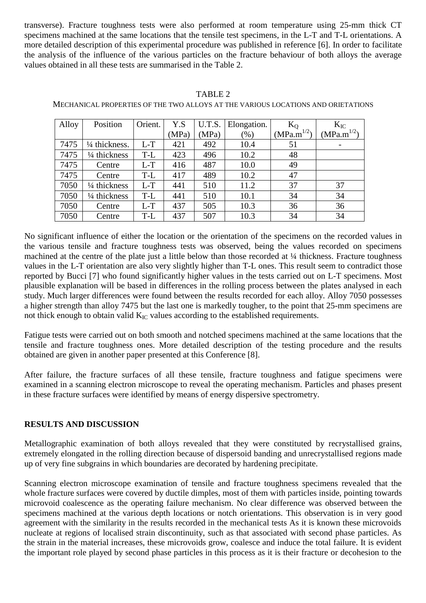transverse). Fracture toughness tests were also performed at room temperature using 25-mm thick CT specimens machined at the same locations that the tensile test specimens, in the L-T and T-L orientations. A more detailed description of this experimental procedure was published in reference [6]. In order to facilitate the analysis of the influence of the various particles on the fracture behaviour of both alloys the average values obtained in all these tests are summarised in the Table 2.

#### TABLE 2

MECHANICAL PROPERTIES OF THE TWO ALLOYS AT THE VARIOUS LOCATIONS AND ORIETATIONS

| Alloy | Position       | Orient. | Y.S   | U.T.S. | Elongation. | $K_0$                        | $K_{IC}$        |
|-------|----------------|---------|-------|--------|-------------|------------------------------|-----------------|
|       |                |         | (MPa) | (MPa)  | $(\%)$      | 1/2<br>(MPa.m <sup>1</sup> ) | $(MPa.m^{1/2})$ |
| 7475  | 1/4 thickness. | $L-T$   | 421   | 492    | 10.4        | 51                           |                 |
| 7475  | 1/4 thickness  | T-L     | 423   | 496    | 10.2        | 48                           |                 |
| 7475  | Centre         | $L-T$   | 416   | 487    | 10.0        | 49                           |                 |
| 7475  | Centre         | T-L     | 417   | 489    | 10.2        | 47                           |                 |
| 7050  | 1/4 thickness  | $L-T$   | 441   | 510    | 11.2        | 37                           | 37              |
| 7050  | 1/4 thickness  | T-L     | 441   | 510    | 10.1        | 34                           | 34              |
| 7050  | Centre         | $L-T$   | 437   | 505    | 10.3        | 36                           | 36              |
| 7050  | Centre         | T-L     | 437   | 507    | 10.3        | 34                           | 34              |

No significant influence of either the location or the orientation of the specimens on the recorded values in the various tensile and fracture toughness tests was observed, being the values recorded on specimens machined at the centre of the plate just a little below than those recorded at ¼ thickness. Fracture toughness values in the L-T orientation are also very slightly higher than T-L ones. This result seem to contradict those reported by Bucci [7] who found significantly higher values in the tests carried out on L-T specimens. Most plausible explanation will be based in differences in the rolling process between the plates analysed in each study. Much larger differences were found between the results recorded for each alloy. Alloy 7050 possesses a higher strength than alloy 7475 but the last one is markedly tougher, to the point that 25-mm specimens are not thick enough to obtain valid  $K_{IC}$  values according to the established requirements.

Fatigue tests were carried out on both smooth and notched specimens machined at the same locations that the tensile and fracture toughness ones. More detailed description of the testing procedure and the results obtained are given in another paper presented at this Conference [8].

After failure, the fracture surfaces of all these tensile, fracture toughness and fatigue specimens were examined in a scanning electron microscope to reveal the operating mechanism. Particles and phases present in these fracture surfaces were identified by means of energy dispersive spectrometry.

### **RESULTS AND DISCUSSION**

Metallographic examination of both alloys revealed that they were constituted by recrystallised grains, extremely elongated in the rolling direction because of dispersoid banding and unrecrystallised regions made up of very fine subgrains in which boundaries are decorated by hardening precipitate.

Scanning electron microscope examination of tensile and fracture toughness specimens revealed that the whole fracture surfaces were covered by ductile dimples, most of them with particles inside, pointing towards microvoid coalescence as the operating failure mechanism. No clear difference was observed between the specimens machined at the various depth locations or notch orientations. This observation is in very good agreement with the similarity in the results recorded in the mechanical tests As it is known these microvoids nucleate at regions of localised strain discontinuity, such as that associated with second phase particles. As the strain in the material increases, these microvoids grow, coalesce and induce the total failure. It is evident the important role played by second phase particles in this process as it is their fracture or decohesion to the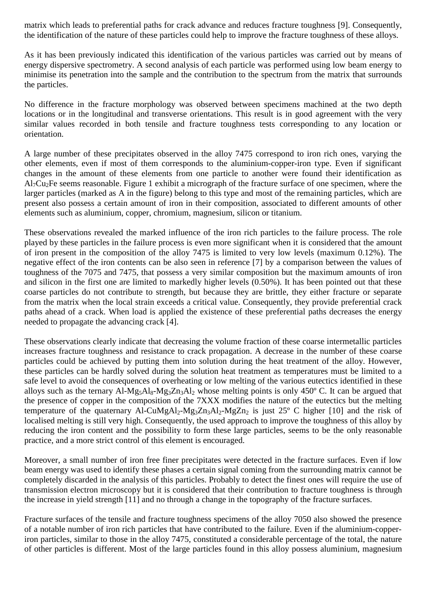matrix which leads to preferential paths for crack advance and reduces fracture toughness [9]. Consequently, the identification of the nature of these particles could help to improve the fracture toughness of these alloys.

As it has been previously indicated this identification of the various particles was carried out by means of energy dispersive spectrometry. A second analysis of each particle was performed using low beam energy to minimise its penetration into the sample and the contribution to the spectrum from the matrix that surrounds the particles.

No difference in the fracture morphology was observed between specimens machined at the two depth locations or in the longitudinal and transverse orientations. This result is in good agreement with the very similar values recorded in both tensile and fracture toughness tests corresponding to any location or orientation.

A large number of these precipitates observed in the alloy 7475 correspond to iron rich ones, varying the other elements, even if most of them corresponds to the aluminium-copper-iron type. Even if significant changes in the amount of these elements from one particle to another were found their identification as Al7Cu2Fe seems reasonable. Figure 1 exhibit a micrograph of the fracture surface of one specimen, where the larger particles (marked as A in the figure) belong to this type and most of the remaining particles, which are present also possess a certain amount of iron in their composition, associated to different amounts of other elements such as aluminium, copper, chromium, magnesium, silicon or titanium.

These observations revealed the marked influence of the iron rich particles to the failure process. The role played by these particles in the failure process is even more significant when it is considered that the amount of iron present in the composition of the alloy 7475 is limited to very low levels (maximum 0.12%). The negative effect of the iron contents can be also seen in reference [7] by a comparison between the values of toughness of the 7075 and 7475, that possess a very similar composition but the maximum amounts of iron and silicon in the first one are limited to markedly higher levels (0.50%). It has been pointed out that these coarse particles do not contribute to strength, but because they are brittle, they either fracture or separate from the matrix when the local strain exceeds a critical value. Consequently, they provide preferential crack paths ahead of a crack. When load is applied the existence of these preferential paths decreases the energy needed to propagate the advancing crack [4].

These observations clearly indicate that decreasing the volume fraction of these coarse intermetallic particles increases fracture toughness and resistance to crack propagation. A decrease in the number of these coarse particles could be achieved by putting them into solution during the heat treatment of the alloy. However, these particles can be hardly solved during the solution heat treatment as temperatures must be limited to a safe level to avoid the consequences of overheating or low melting of the various eutectics identified in these alloys such as the ternary  $Al-Mg<sub>5</sub>Al<sub>8</sub>-Mg<sub>3</sub>Zn<sub>3</sub>Al<sub>2</sub>$  whose melting points is only 450° C. It can be argued that the presence of copper in the composition of the 7XXX modifies the nature of the eutectics but the melting temperature of the quaternary Al-CuMgAl<sub>2</sub>-Mg<sub>3</sub>Zn<sub>3</sub>Al<sub>2</sub>-MgZn<sub>2</sub> is just 25° C higher [10] and the risk of localised melting is still very high. Consequently, the used approach to improve the toughness of this alloy by reducing the iron content and the possibility to form these large particles, seems to be the only reasonable practice, and a more strict control of this element is encouraged.

Moreover, a small number of iron free finer precipitates were detected in the fracture surfaces. Even if low beam energy was used to identify these phases a certain signal coming from the surrounding matrix cannot be completely discarded in the analysis of this particles. Probably to detect the finest ones will require the use of transmission electron microscopy but it is considered that their contribution to fracture toughness is through the increase in yield strength [11] and no through a change in the topography of the fracture surfaces.

Fracture surfaces of the tensile and fracture toughness specimens of the alloy 7050 also showed the presence of a notable number of iron rich particles that have contributed to the failure. Even if the aluminium-copperiron particles, similar to those in the alloy 7475, constituted a considerable percentage of the total, the nature of other particles is different. Most of the large particles found in this alloy possess aluminium, magnesium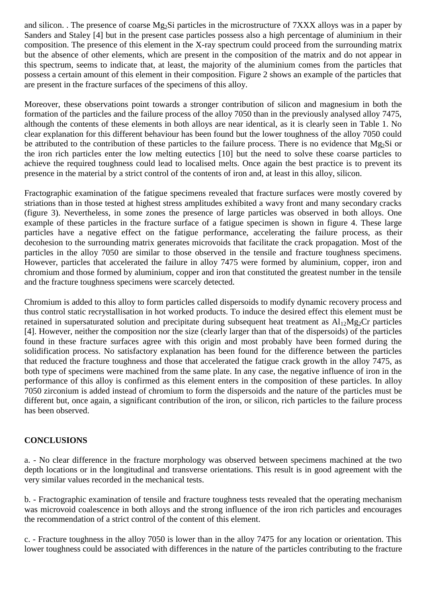and silicon. . The presence of coarse Mg<sub>2</sub>Si particles in the microstructure of 7XXX alloys was in a paper by Sanders and Staley [4] but in the present case particles possess also a high percentage of aluminium in their composition. The presence of this element in the X-ray spectrum could proceed from the surrounding matrix but the absence of other elements, which are present in the composition of the matrix and do not appear in this spectrum, seems to indicate that, at least, the majority of the aluminium comes from the particles that possess a certain amount of this element in their composition. Figure 2 shows an example of the particles that are present in the fracture surfaces of the specimens of this alloy.

Moreover, these observations point towards a stronger contribution of silicon and magnesium in both the formation of the particles and the failure process of the alloy 7050 than in the previously analysed alloy 7475, although the contents of these elements in both alloys are near identical, as it is clearly seen in Table 1. No clear explanation for this different behaviour has been found but the lower toughness of the alloy 7050 could be attributed to the contribution of these particles to the failure process. There is no evidence that Mg<sub>2</sub>Si or the iron rich particles enter the low melting eutectics [10] but the need to solve these coarse particles to achieve the required toughness could lead to localised melts. Once again the best practice is to prevent its presence in the material by a strict control of the contents of iron and, at least in this alloy, silicon.

Fractographic examination of the fatigue specimens revealed that fracture surfaces were mostly covered by striations than in those tested at highest stress amplitudes exhibited a wavy front and many secondary cracks (figure 3). Nevertheless, in some zones the presence of large particles was observed in both alloys. One example of these particles in the fracture surface of a fatigue specimen is shown in figure 4. These large particles have a negative effect on the fatigue performance, accelerating the failure process, as their decohesion to the surrounding matrix generates microvoids that facilitate the crack propagation. Most of the particles in the alloy 7050 are similar to those observed in the tensile and fracture toughness specimens. However, particles that accelerated the failure in alloy 7475 were formed by aluminium, copper, iron and chromium and those formed by aluminium, copper and iron that constituted the greatest number in the tensile and the fracture toughness specimens were scarcely detected.

Chromium is added to this alloy to form particles called dispersoids to modify dynamic recovery process and thus control static recrystallisation in hot worked products. To induce the desired effect this element must be retained in supersaturated solution and precipitate during subsequent heat treatment as  $Al<sub>12</sub>Mg<sub>2</sub>Cr$  particles [4]. However, neither the composition nor the size (clearly larger than that of the dispersoids) of the particles found in these fracture surfaces agree with this origin and most probably have been formed during the solidification process. No satisfactory explanation has been found for the difference between the particles that reduced the fracture toughness and those that accelerated the fatigue crack growth in the alloy 7475, as both type of specimens were machined from the same plate. In any case, the negative influence of iron in the performance of this alloy is confirmed as this element enters in the composition of these particles. In alloy 7050 zirconium is added instead of chromium to form the dispersoids and the nature of the particles must be different but, once again, a significant contribution of the iron, or silicon, rich particles to the failure process has been observed.

### **CONCLUSIONS**

a. - No clear difference in the fracture morphology was observed between specimens machined at the two depth locations or in the longitudinal and transverse orientations. This result is in good agreement with the very similar values recorded in the mechanical tests.

b. - Fractographic examination of tensile and fracture toughness tests revealed that the operating mechanism was microvoid coalescence in both alloys and the strong influence of the iron rich particles and encourages the recommendation of a strict control of the content of this element.

c. - Fracture toughness in the alloy 7050 is lower than in the alloy 7475 for any location or orientation. This lower toughness could be associated with differences in the nature of the particles contributing to the fracture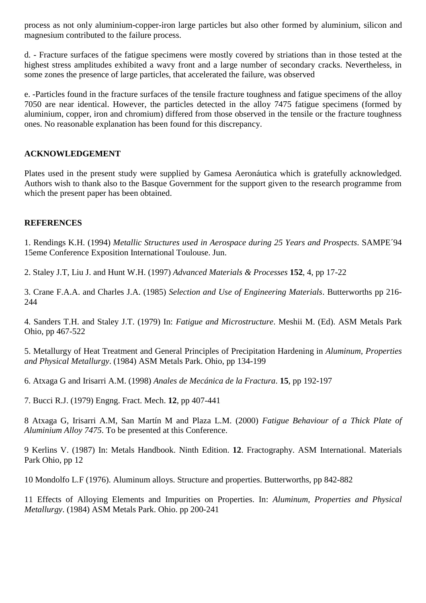process as not only aluminium-copper-iron large particles but also other formed by aluminium, silicon and magnesium contributed to the failure process.

d. - Fracture surfaces of the fatigue specimens were mostly covered by striations than in those tested at the highest stress amplitudes exhibited a wavy front and a large number of secondary cracks. Nevertheless, in some zones the presence of large particles, that accelerated the failure, was observed

e. -Particles found in the fracture surfaces of the tensile fracture toughness and fatigue specimens of the alloy 7050 are near identical. However, the particles detected in the alloy 7475 fatigue specimens (formed by aluminium, copper, iron and chromium) differed from those observed in the tensile or the fracture toughness ones. No reasonable explanation has been found for this discrepancy.

# **ACKNOWLEDGEMENT**

Plates used in the present study were supplied by Gamesa Aeronáutica which is gratefully acknowledged. Authors wish to thank also to the Basque Government for the support given to the research programme from which the present paper has been obtained.

# **REFERENCES**

1. Rendings K.H. (1994) *Metallic Structures used in Aerospace during 25 Years and Prospects*. SAMPE´94 15eme Conference Exposition International Toulouse. Jun.

2. Staley J.T, Liu J. and Hunt W.H. (1997) *Advanced Materials & Processes* **152**, 4, pp 17-22

3. Crane F.A.A. and Charles J.A. (1985) *Selection and Use of Engineering Materials*. Butterworths pp 216- 244

4. Sanders T.H. and Staley J.T. (1979) In: *Fatigue and Microstructure*. Meshii M. (Ed). ASM Metals Park Ohio, pp 467-522

5. Metallurgy of Heat Treatment and General Principles of Precipitation Hardening in *Aluminum, Properties and Physical Metallurgy*. (1984) ASM Metals Park. Ohio, pp 134-199

6. Atxaga G and Irisarri A.M. (1998) *Anales de Mecánica de la Fractura*. **15**, pp 192-197

7. Bucci R.J. (1979) Engng. Fract. Mech. **12**, pp 407-441

8 Atxaga G, Irisarri A.M, San Martín M and Plaza L.M. (2000) *Fatigue Behaviour of a Thick Plate of Aluminium Alloy 7475*. To be presented at this Conference.

9 Kerlins V. (1987) In: Metals Handbook. Ninth Edition. **12**. Fractography. ASM International. Materials Park Ohio, pp 12

10 Mondolfo L.F (1976). Aluminum alloys. Structure and properties. Butterworths, pp 842-882

11 Effects of Alloying Elements and Impurities on Properties. In: *Aluminum, Properties and Physical Metallurgy*. (1984) ASM Metals Park. Ohio. pp 200-241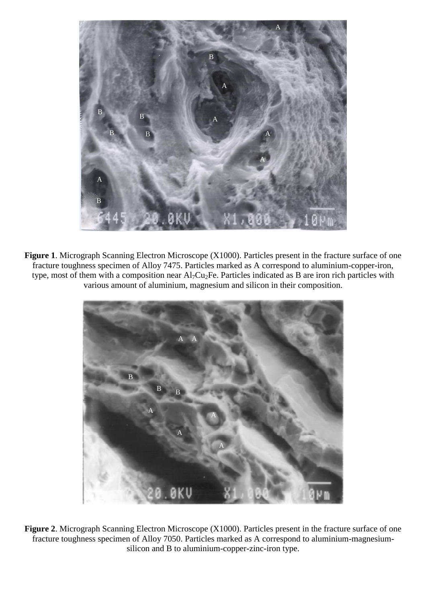

**Figure 1**. Micrograph Scanning Electron Microscope (X1000). Particles present in the fracture surface of one fracture toughness specimen of Alloy 7475. Particles marked as A correspond to aluminium-copper-iron, type, most of them with a composition near Al7Cu2Fe. Particles indicated as B are iron rich particles with various amount of aluminium, magnesium and silicon in their composition.



**Figure 2**. Micrograph Scanning Electron Microscope (X1000). Particles present in the fracture surface of one fracture toughness specimen of Alloy 7050. Particles marked as A correspond to aluminium-magnesiumsilicon and B to aluminium-copper-zinc-iron type.